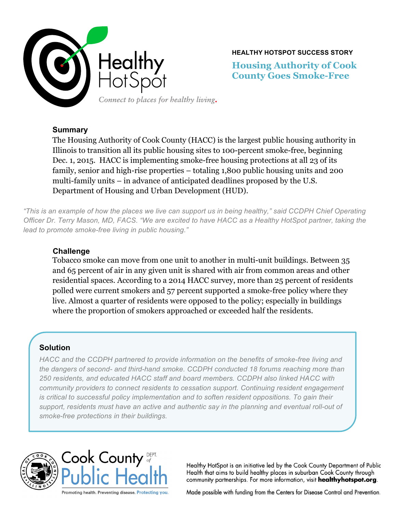

**HEALTHY HOTSPOT SUCCESS STORY**

**Housing Authority of Cook County Goes Smoke-Free**

# **Summary**

The Housing Authority of Cook County (HACC) is the largest public housing authority in Illinois to transition all its public housing sites to 100-percent smoke-free, beginning Dec. 1, 2015. HACC is implementing smoke-free housing protections at all 23 of its family, senior and high-rise properties – totaling 1,800 public housing units and 200 multi-family units – in advance of anticipated deadlines proposed by the U.S. Department of Housing and Urban Development (HUD).

*"This is an example of how the places we live can support us in being healthy," said CCDPH Chief Operating Officer Dr. Terry Mason, MD, FACS. "We are excited to have HACC as a Healthy HotSpot partner, taking the lead to promote smoke-free living in public housing."*

# **Challenge**

Tobacco smoke can move from one unit to another in multi-unit buildings. Between 35 and 65 percent of air in any given unit is shared with air from common areas and other residential spaces. According to a 2014 HACC survey, more than 25 percent of residents polled were current smokers and 57 percent supported a smoke-free policy where they live. Almost a quarter of residents were opposed to the policy; especially in buildings where the proportion of smokers approached or exceeded half the residents.

## **Solution**

*HACC and the CCDPH partnered to provide information on the benefits of smoke-free living and the dangers of second- and third-hand smoke. CCDPH conducted 18 forums reaching more than 250 residents, and educated HACC staff and board members. CCDPH also linked HACC with community providers to connect residents to cessation support. Continuing resident engagement is critical to successful policy implementation and to soften resident oppositions. To gain their*  support, residents must have an active and authentic say in the planning and eventual roll-out of *smoke-free protections in their buildings.*





Healthy HotSpot is an initiative led by the Cook County Department of Public Health that aims to build healthy places in suburban Cook County through community partnerships. For more information, visit healthyhotspot.org.

Made possible with funding from the Centers for Disease Control and Prevention.